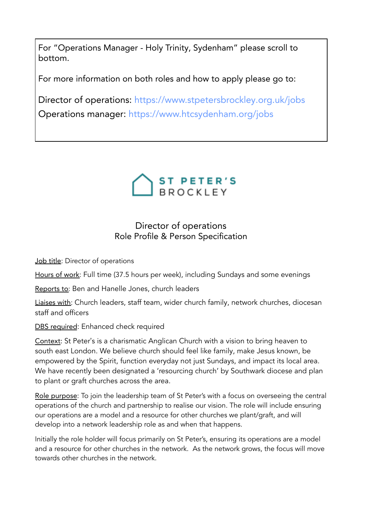For "Operations Manager - Holy Trinity, Sydenham" please scroll to bottom.

For more information on both roles and how to apply please go to:

Director of operations: <https://www.stpetersbrockley.org.uk/jobs> Operations manager: <https://www.htcsydenham.org/jobs>



# Director of operations Role Profile & Person Specification

Job title: Director of operations

Hours of work: Full time (37.5 hours per week), including Sundays and some evenings

Reports to: Ben and Hanelle Jones, church leaders

Liaises with: Church leaders, staff team, wider church family, network churches, diocesan staff and officers

DBS required: Enhanced check required

Context: St Peter's is a charismatic Anglican Church with a vision to bring heaven to south east London. We believe church should feel like family, make Jesus known, be empowered by the Spirit, function everyday not just Sundays, and impact its local area. We have recently been designated a 'resourcing church' by Southwark diocese and plan to plant or graft churches across the area.

Role purpose: To join the leadership team of St Peter's with a focus on overseeing the central operations of the church and partnership to realise our vision. The role will include ensuring our operations are a model and a resource for other churches we plant/graft, and will develop into a network leadership role as and when that happens.

Initially the role holder will focus primarily on St Peter's, ensuring its operations are a model and a resource for other churches in the network. As the network grows, the focus will move towards other churches in the network.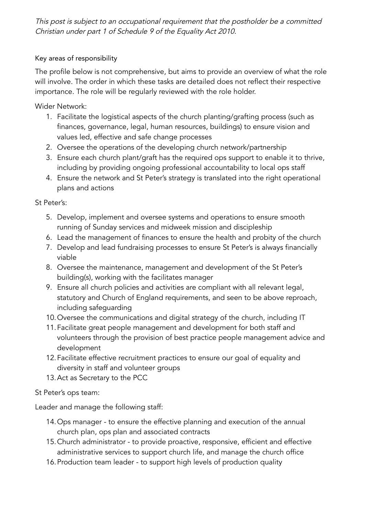This post is subject to an occupational requirement that the postholder be <sup>a</sup> committed Christian under part <sup>1</sup> of Schedule <sup>9</sup> of the Equality Act 2010.

### Key areas of responsibility

The profile below is not comprehensive, but aims to provide an overview of what the role will involve. The order in which these tasks are detailed does not reflect their respective importance. The role will be regularly reviewed with the role holder.

Wider Network:

- 1. Facilitate the logistical aspects of the church planting/grafting process (such as finances, governance, legal, human resources, buildings) to ensure vision and values led, effective and safe change processes
- 2. Oversee the operations of the developing church network/partnership
- 3. Ensure each church plant/graft has the required ops support to enable it to thrive, including by providing ongoing professional accountability to local ops staff
- 4. Ensure the network and St Peter's strategy is translated into the right operational plans and actions

St Peter's:

- 5. Develop, implement and oversee systems and operations to ensure smooth running of Sunday services and midweek mission and discipleship
- 6. Lead the management of finances to ensure the health and probity of the church
- 7. Develop and lead fundraising processes to ensure St Peter's is always financially viable
- 8. Oversee the maintenance, management and development of the St Peter's building(s), working with the facilitates manager
- 9. Ensure all church policies and activities are compliant with all relevant legal, statutory and Church of England requirements, and seen to be above reproach, including safeguarding
- 10.Oversee the communications and digital strategy of the church, including IT
- 11.Facilitate great people management and development for both staff and volunteers through the provision of best practice people management advice and development
- 12.Facilitate effective recruitment practices to ensure our goal of equality and diversity in staff and volunteer groups
- 13.Act as Secretary to the PCC

#### St Peter's ops team:

Leader and manage the following staff:

- 14.Ops manager to ensure the effective planning and execution of the annual church plan, ops plan and associated contracts
- 15.Church administrator to provide proactive, responsive, efficient and effective administrative services to support church life, and manage the church office
- 16.Production team leader to support high levels of production quality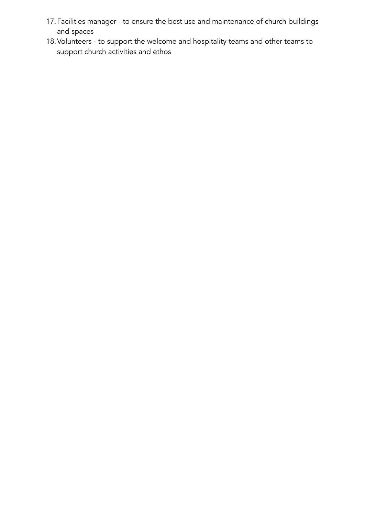- 17.Facilities manager to ensure the best use and maintenance of church buildings and spaces
- 18.Volunteers to support the welcome and hospitality teams and other teams to support church activities and ethos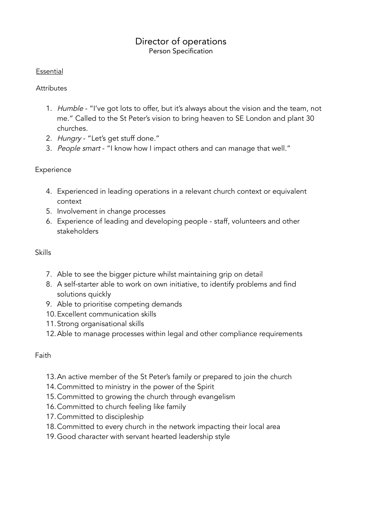## Director of operations Person Specification

#### Essential

### **Attributes**

- 1. Humble "I've got lots to offer, but it's always about the vision and the team, not me." Called to the St Peter's vision to bring heaven to SE London and plant 30 churches.
- 2. Hungry "Let's get stuff done."
- 3. People smart "I know how I impact others and can manage that well."

## **Experience**

- 4. Experienced in leading operations in a relevant church context or equivalent context
- 5. Involvement in change processes
- 6. Experience of leading and developing people staff, volunteers and other stakeholders

## Skills

- 7. Able to see the bigger picture whilst maintaining grip on detail
- 8. A self-starter able to work on own initiative, to identify problems and find solutions quickly
- 9. Able to prioritise competing demands
- 10.Excellent communication skills
- 11.Strong organisational skills
- 12.Able to manage processes within legal and other compliance requirements

## Faith

- 13.An active member of the St Peter's family or prepared to join the church
- 14.Committed to ministry in the power of the Spirit
- 15.Committed to growing the church through evangelism
- 16.Committed to church feeling like family
- 17.Committed to discipleship
- 18.Committed to every church in the network impacting their local area
- 19.Good character with servant hearted leadership style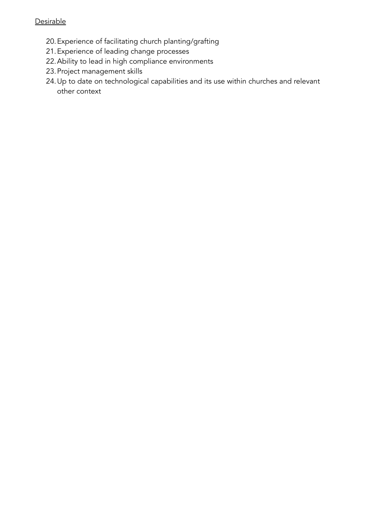### **Desirable**

- 20.Experience of facilitating church planting/grafting
- 21.Experience of leading change processes
- 22.Ability to lead in high compliance environments
- 23.Project management skills
- 24.Up to date on technological capabilities and its use within churches and relevant other context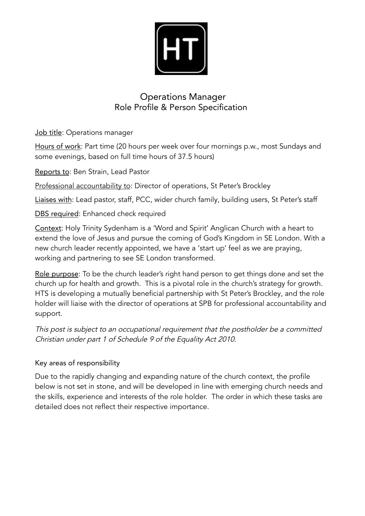

# Operations Manager Role Profile & Person Specification

Job title: Operations manager

Hours of work: Part time (20 hours per week over four mornings p.w., most Sundays and some evenings, based on full time hours of 37.5 hours)

Reports to: Ben Strain, Lead Pastor

Professional accountability to: Director of operations, St Peter's Brockley

Liaises with: Lead pastor, staff, PCC, wider church family, building users, St Peter's staff

DBS required: Enhanced check required

Context: Holy Trinity Sydenham is a 'Word and Spirit' Anglican Church with a heart to extend the love of Jesus and pursue the coming of God's Kingdom in SE London. With a new church leader recently appointed, we have a 'start up' feel as we are praying, working and partnering to see SE London transformed.

Role purpose: To be the church leader's right hand person to get things done and set the church up for health and growth. This is a pivotal role in the church's strategy for growth. HTS is developing a mutually beneficial partnership with St Peter's Brockley, and the role holder will liaise with the director of operations at SPB for professional accountability and support.

This post is subject to an occupational requirement that the postholder be <sup>a</sup> committed Christian under part <sup>1</sup> of Schedule <sup>9</sup> of the Equality Act 2010.

## Key areas of responsibility

Due to the rapidly changing and expanding nature of the church context, the profile below is not set in stone, and will be developed in line with emerging church needs and the skills, experience and interests of the role holder. The order in which these tasks are detailed does not reflect their respective importance.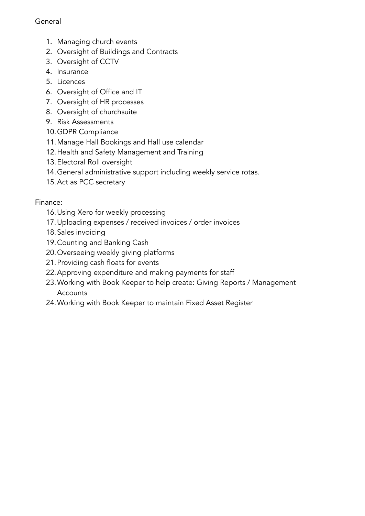## **General**

- 1. Managing church events
- 2. Oversight of Buildings and Contracts
- 3. Oversight of CCTV
- 4. Insurance
- 5. Licences
- 6. Oversight of Office and IT
- 7. Oversight of HR processes
- 8. Oversight of churchsuite
- 9. Risk Assessments
- 10.GDPR Compliance
- 11.Manage Hall Bookings and Hall use calendar
- 12.Health and Safety Management and Training
- 13.Electoral Roll oversight
- 14.General administrative support including weekly service rotas.
- 15.Act as PCC secretary

# Finance:

- 16.Using Xero for weekly processing
- 17.Uploading expenses / received invoices / order invoices
- 18.Sales invoicing
- 19.Counting and Banking Cash
- 20.Overseeing weekly giving platforms
- 21.Providing cash floats for events
- 22.Approving expenditure and making payments for staff
- 23.Working with Book Keeper to help create: Giving Reports / Management **Accounts**
- 24.Working with Book Keeper to maintain Fixed Asset Register